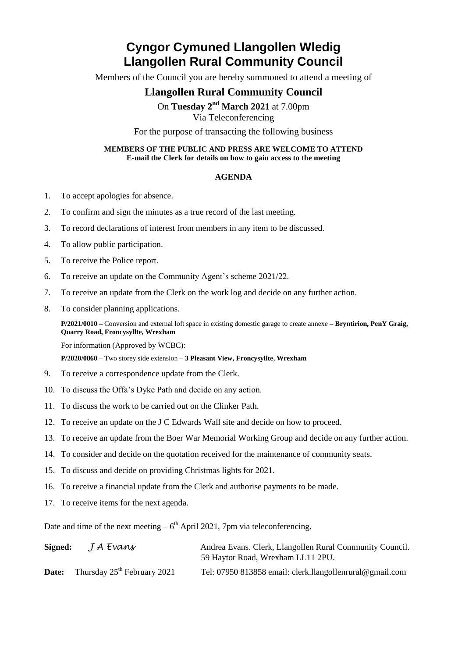# **Cyngor Cymuned Llangollen Wledig Llangollen Rural Community Council**

Members of the Council you are hereby summoned to attend a meeting of

## **Llangollen Rural Community Council**

On Tuesday 2<sup>nd</sup> March 2021 at 7.00pm

Via Teleconferencing

For the purpose of transacting the following business

### **MEMBERS OF THE PUBLIC AND PRESS ARE WELCOME TO ATTEND E-mail the Clerk for details on how to gain access to the meeting**

### **AGENDA**

- 1. To accept apologies for absence.
- 2. To confirm and sign the minutes as a true record of the last meeting.
- 3. To record declarations of interest from members in any item to be discussed.
- 4. To allow public participation.
- 5. To receive the Police report.
- 6. To receive an update on the Community Agent's scheme 2021/22.
- 7. To receive an update from the Clerk on the work log and decide on any further action.
- 8. To consider planning applications.

**P/2021/0010 –** Conversion and external loft space in existing domestic garage to create annexe **– Bryntirion, PenY Graig, Quarry Road, Froncysyllte, Wrexham**

For information (Approved by WCBC):

**P/2020/0860 –** Two storey side extension **– 3 Pleasant View, Froncysyllte, Wrexham**

- 9. To receive a correspondence update from the Clerk.
- 10. To discuss the Offa's Dyke Path and decide on any action.
- 11. To discuss the work to be carried out on the Clinker Path.
- 12. To receive an update on the J C Edwards Wall site and decide on how to proceed.
- 13. To receive an update from the Boer War Memorial Working Group and decide on any further action.
- 14. To consider and decide on the quotation received for the maintenance of community seats.
- 15. To discuss and decide on providing Christmas lights for 2021.
- 16. To receive a financial update from the Clerk and authorise payments to be made.
- 17. To receive items for the next agenda.

Date and time of the next meeting  $-6<sup>th</sup>$  April 2021, 7pm via teleconferencing.

| Signed: | J A Evans                               | Andrea Evans. Clerk, Llangollen Rural Community Council.<br>59 Haytor Road, Wrexham LL11 2PU. |
|---------|-----------------------------------------|-----------------------------------------------------------------------------------------------|
| Date:   | Thursday $25^{\text{th}}$ February 2021 | Tel: 07950 813858 email: clerk.llangollenrural@gmail.com                                      |